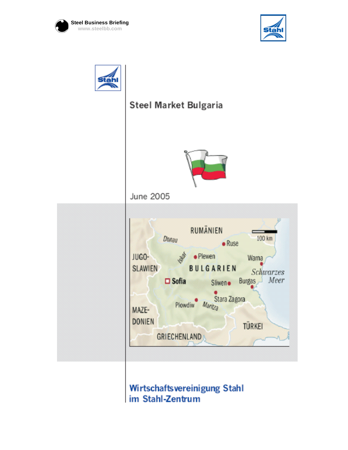





# Steel Market Bulgaria



June 2005



## Wirtschaftsvereinigung Stahl im Stahl-Zentrum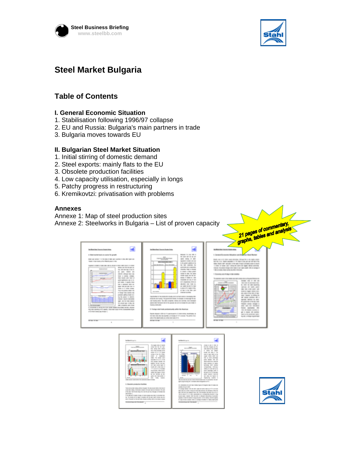



### **Steel Market Bulgaria**

### **Table of Contents**

#### **I. General Economic Situation**

- 1. Stabilisation following 1996/97 collapse
- 2. EU and Russia: Bulgaria's main partners in trade
- 3. Bulgaria moves towards EU

#### **II. Bulgarian Steel Market Situation**

- 1. Initial stirring of domestic demand
- 2. Steel exports: mainly flats to the EU
- 3. Obsolete production facilities
- 4. Low capacity utilisation, especially in longs
- 5. Patchy progress in restructuring
- 6. Kremikovtzi: privatisation with problems

#### **Annexes**

Annexe 1: Map of steel production sites Annexe 2: Steelworks in Bulgaria – List of proven capacity

|                                                                                                                                                                                                                                                                                                                                                                                                                                                                                                                                                                                                                                                                                                                                                                                                                                                                                                                                                                                                                                                                                                                                                                                                                                                                           | Steelworks in Bulgaria - List of proven capacity                                                                                                                                                                                                                                                                                                                                                                                                                                                                                                                                                                                                                                                                                                                                                                                                                                                                                                                                                                                                                                                                                                                                                                                                                                                                                                                | 21 pages of commentary.<br>graphs, tables and analysis                                                                                                                                                                                                                                                                                                                                                                                                                                                                                                                                                                                                                                                                                                                                                                                                                                                                                                                                                                                                                                                                                                              |
|---------------------------------------------------------------------------------------------------------------------------------------------------------------------------------------------------------------------------------------------------------------------------------------------------------------------------------------------------------------------------------------------------------------------------------------------------------------------------------------------------------------------------------------------------------------------------------------------------------------------------------------------------------------------------------------------------------------------------------------------------------------------------------------------------------------------------------------------------------------------------------------------------------------------------------------------------------------------------------------------------------------------------------------------------------------------------------------------------------------------------------------------------------------------------------------------------------------------------------------------------------------------------|-----------------------------------------------------------------------------------------------------------------------------------------------------------------------------------------------------------------------------------------------------------------------------------------------------------------------------------------------------------------------------------------------------------------------------------------------------------------------------------------------------------------------------------------------------------------------------------------------------------------------------------------------------------------------------------------------------------------------------------------------------------------------------------------------------------------------------------------------------------------------------------------------------------------------------------------------------------------------------------------------------------------------------------------------------------------------------------------------------------------------------------------------------------------------------------------------------------------------------------------------------------------------------------------------------------------------------------------------------------------|---------------------------------------------------------------------------------------------------------------------------------------------------------------------------------------------------------------------------------------------------------------------------------------------------------------------------------------------------------------------------------------------------------------------------------------------------------------------------------------------------------------------------------------------------------------------------------------------------------------------------------------------------------------------------------------------------------------------------------------------------------------------------------------------------------------------------------------------------------------------------------------------------------------------------------------------------------------------------------------------------------------------------------------------------------------------------------------------------------------------------------------------------------------------|
| between but themes block-this<br>10 Characterization in the complete the computer<br>come your public to the first series of the company of the company of the series of the company of<br>THREE A FEW PAINTING CONTROL FROM A CHART<br>A good in surest of contributions to be control contribution in the sense<br><b>William Color The Securities Card</b><br><b>Continued from 1979</b><br>THE REPORT CONTROL BATTLES<br>on and there are<br><b>CALIFORNIA</b><br>SECOND ARRANGEMENT PRO<br>line is actor interest<br>them classify some more of<br>--<br>LONG GUARANTEE COLLECTIVE<br>and colors is expected three<br>case or expensive tensor and<br><b>Color</b><br>Canada Editor-Alexander Canada III<br>calling to 13 years to see.<br>The December 1988 198<br><b>Burn</b><br>to being feet-terms out<br>product and products in<br>ing the price in passes.<br><b>STORIES INSTANT ROBINSONS</b><br>special state that them companies<br>THE R. P. LEWIS CO., LANSING, MICH.<br><b>CARS - COLORADOR - MOTOR COLORADO</b><br>In concerning to several was noted recept respect that street invitation entering<br>The case cancello on at casedy. There are must think containing fields<br>of the relines demand men American's<br><b>Barrows</b> (1979)<br>I G | bell-infant for the sea form in the<br>WARRANT IT IS LONG THAT IT<br>The control with 18 years and<br><b>TANK OF STAR</b><br>come comes or story<br>excessive control view deal<br><b>WHO SHOULD MAKE MIX</b><br>to be appelled potential in the<br>to but colorate for<br>a books and controlled<br><b>Sharras Trad is fraud</b><br>in some a later posts<br>Callie II that Tel: retire<br>Colorado - Andreas - Alta - Cali - Andr<br>WHEN I WARD IN 1992<br>programme and and off war<br><b>STORY COMPANY RESIDENCE</b><br>advance from from the<br>are could changed the first<br>A story of the Delay Sullivan<br>at the trial and the<br><b>Box States</b><br>company and controllers.<br>TO FROM A RECENT FOR A 24 YEAR OLD FEMALE REPORTED<br>conductor and insurance The government columns. To except it's statement the rate<br>1980 FREDRIC BROOK - May 1980 Conceptions, Identificated Scott Controller, Editor Stevenson<br>come a close Commercia close for this excitement and will be<br><b>Technological color</b><br>11 Formign constitues constraint config spikes that American<br>The Co discuss I will be it ? I contained by it today with the contained as<br>tel since site alle sommerhet universement til it second. The policy show<br>sales in the stage country assurance manners of the<br><b>BY THE THE TWO</b><br>$\mathbb{R}$ | to a filler of the court<br>the first and confidence<br><b>COLLECTION CONTROL CONTROL</b><br>that cars of the same terms through the state cash out<br>the field model of three parts of the con-<br>THE RUSS OF COLUMN 17TH THE FAILURE STREET COMPANY<br>product of streets and continued a sectional teams which declining<br>terms through the case and real of a comput-<br>The company's the company's the company's<br>A Chicamony cash of chapter law constitute<br>and the first state and the control with the first process that the con-<br>consumer come of 1980 can<br>1981 CORP. De Albertando De<br>21 1003 121 122 123 124<br>anticipa and model area<br><b>BBI-100-1-101-101-1</b><br>Scottistic Capital California Bott<br>\$50 - \$500 FB FB 1991 10 1991<br><b>DESCRIPTION OF REPORT PR</b><br>18 - colore cannon rate of<br>TATIONS TREVIALS IN LAND<br>The commercial control and com-<br><b>PERSONAL CONTRACT PROTECTIVE</b><br>steel cable two recognition<br>Scenes committee<br>THE THE FEMALE CONTROL OF<br>\$9.10 (\$100) 193-100000<br><b>SECTION CONSTRUCTION</b><br>Barrell - Colorado Contrato com<br><b>SECTION CONTINUE</b><br>m |
| in books in<br><b>CALL AND ANN</b><br><b>MOUNTAIN STATE</b>                                                                                                                                                                                                                                                                                                                                                                                                                                                                                                                                                                                                                                                                                                                                                                                                                                                                                                                                                                                                                                                                                                                                                                                                               | be distributed as a<br>The street drive of classified<br>allows to see in them of<br>some two de 10 met.<br>the two Hungai are the<br>more and Mill supports<br>THE ATOM STAT JOINT<br><b>WELL AND FIX ON CALIFON</b><br>last chief moved at the<br>a looks on listen<br><b>HAS IT IT IS IT WIN</b><br>three all cars to the<br>come a los la Lobo<br>strate of stage made by the                                                                                                                                                                                                                                                                                                                                                                                                                                                                                                                                                                                                                                                                                                                                                                                                                                                                                                                                                                               |                                                                                                                                                                                                                                                                                                                                                                                                                                                                                                                                                                                                                                                                                                                                                                                                                                                                                                                                                                                                                                                                                                                                                                     |